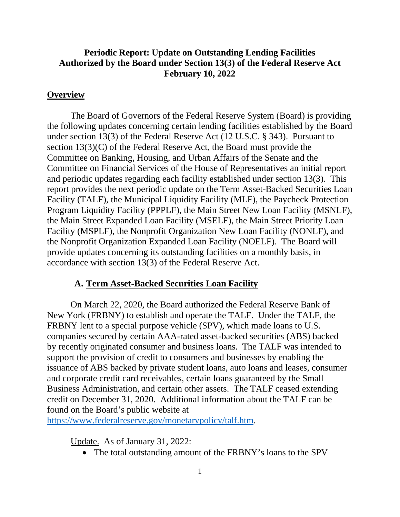### **Periodic Report: Update on Outstanding Lending Facilities Authorized by the Board under Section 13(3) of the Federal Reserve Act February 10, 2022**

#### **Overview**

The Board of Governors of the Federal Reserve System (Board) is providing the following updates concerning certain lending facilities established by the Board under section 13(3) of the Federal Reserve Act (12 U.S.C. § 343). Pursuant to section 13(3)(C) of the Federal Reserve Act, the Board must provide the Committee on Banking, Housing, and Urban Affairs of the Senate and the Committee on Financial Services of the House of Representatives an initial report and periodic updates regarding each facility established under section 13(3). This report provides the next periodic update on the Term Asset-Backed Securities Loan Facility (TALF), the Municipal Liquidity Facility (MLF), the Paycheck Protection Program Liquidity Facility (PPPLF), the Main Street New Loan Facility (MSNLF), the Main Street Expanded Loan Facility (MSELF), the Main Street Priority Loan Facility (MSPLF), the Nonprofit Organization New Loan Facility (NONLF), and the Nonprofit Organization Expanded Loan Facility (NOELF). The Board will provide updates concerning its outstanding facilities on a monthly basis, in accordance with section 13(3) of the Federal Reserve Act.

#### **A. Term Asset-Backed Securities Loan Facility**

On March 22, 2020, the Board authorized the Federal Reserve Bank of New York (FRBNY) to establish and operate the TALF. Under the TALF, the FRBNY lent to a special purpose vehicle (SPV), which made loans to U.S. companies secured by certain AAA-rated asset-backed securities (ABS) backed by recently originated consumer and business loans. The TALF was intended to support the provision of credit to consumers and businesses by enabling the issuance of ABS backed by private student loans, auto loans and leases, consumer and corporate credit card receivables, certain loans guaranteed by the Small Business Administration, and certain other assets. The TALF ceased extending credit on December 31, 2020. Additional information about the TALF can be found on the Board's public website at

[https://www.federalreserve.gov/monetarypolicy/talf.htm.](https://www.federalreserve.gov/monetarypolicy/talf.htm)

Update. As of January 31, 2022:

• The total outstanding amount of the FRBNY's loans to the SPV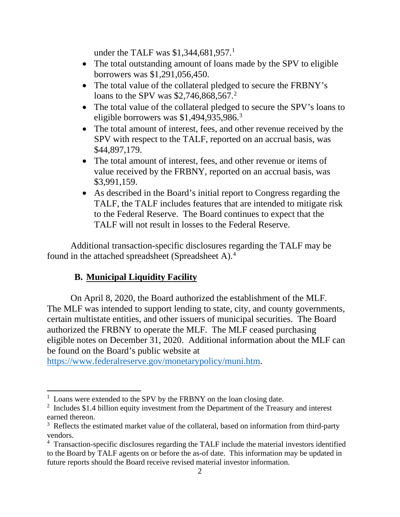under the TALF was \$[1](#page-1-0),344,681,957.<sup>1</sup>

- The total outstanding amount of loans made by the SPV to eligible borrowers was \$1,291,056,450.
- The total value of the collateral pledged to secure the FRBNY's loans to the SPV was \$[2](#page-1-1),746,868,567.<sup>2</sup>
- The total value of the collateral pledged to secure the SPV's loans to eligible borrowers was \$1,494,9[3](#page-1-2)5,986.<sup>3</sup>
- The total amount of interest, fees, and other revenue received by the SPV with respect to the TALF, reported on an accrual basis, was \$44,897,179.
- The total amount of interest, fees, and other revenue or items of value received by the FRBNY, reported on an accrual basis, was \$3,991,159.
- As described in the Board's initial report to Congress regarding the TALF, the TALF includes features that are intended to mitigate risk to the Federal Reserve. The Board continues to expect that the TALF will not result in losses to the Federal Reserve.

Additional transaction-specific disclosures regarding the TALF may be found in the attached spreadsheet (Spreadsheet A).[4](#page-1-3)

# **B. Municipal Liquidity Facility**

On April 8, 2020, the Board authorized the establishment of the MLF. The MLF was intended to support lending to state, city, and county governments, certain multistate entities, and other issuers of municipal securities. The Board authorized the FRBNY to operate the MLF. The MLF ceased purchasing eligible notes on December 31, 2020. Additional information about the MLF can be found on the Board's public website at

[https://www.federalreserve.gov/monetarypolicy/muni.htm.](https://www.federalreserve.gov/monetarypolicy/muni.htm)

<span id="page-1-0"></span><sup>&</sup>lt;sup>1</sup> Loans were extended to the SPV by the FRBNY on the loan closing date.

<span id="page-1-1"></span> $2$  Includes \$1.4 billion equity investment from the Department of the Treasury and interest earned thereon.

<span id="page-1-2"></span> $3$  Reflects the estimated market value of the collateral, based on information from third-party vendors.

<span id="page-1-3"></span><sup>&</sup>lt;sup>4</sup> Transaction-specific disclosures regarding the TALF include the material investors identified to the Board by TALF agents on or before the as-of date. This information may be updated in future reports should the Board receive revised material investor information.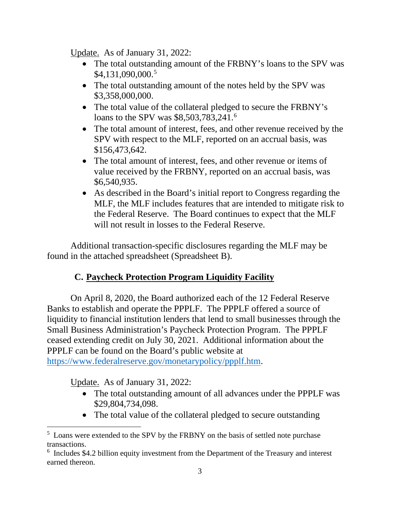Update. As of January 31, 2022:

- The total outstanding amount of the FRBNY's loans to the SPV was \$4,131,090,000. [5](#page-2-0)
- The total outstanding amount of the notes held by the SPV was \$3,358,000,000.
- The total value of the collateral pledged to secure the FRBNY's loans to the SPV was \$8,503,783,241.<sup>[6](#page-2-1)</sup>
- The total amount of interest, fees, and other revenue received by the SPV with respect to the MLF, reported on an accrual basis, was \$156,473,642.
- The total amount of interest, fees, and other revenue or items of value received by the FRBNY, reported on an accrual basis, was \$6,540,935.
- As described in the Board's initial report to Congress regarding the MLF, the MLF includes features that are intended to mitigate risk to the Federal Reserve. The Board continues to expect that the MLF will not result in losses to the Federal Reserve.

Additional transaction-specific disclosures regarding the MLF may be found in the attached spreadsheet (Spreadsheet B).

# **C. Paycheck Protection Program Liquidity Facility**

On April 8, 2020, the Board authorized each of the 12 Federal Reserve Banks to establish and operate the PPPLF. The PPPLF offered a source of liquidity to financial institution lenders that lend to small businesses through the Small Business Administration's Paycheck Protection Program. The PPPLF ceased extending credit on July 30, 2021. Additional information about the PPPLF can be found on the Board's public website at [https://www.federalreserve.gov/monetarypolicy/ppplf.htm.](https://www.federalreserve.gov/monetarypolicy/ppplf.htm)

Update. As of January 31, 2022:

- The total outstanding amount of all advances under the PPPLF was \$29,804,734,098.
- The total value of the collateral pledged to secure outstanding

<span id="page-2-0"></span><sup>&</sup>lt;sup>5</sup> Loans were extended to the SPV by the FRBNY on the basis of settled note purchase transactions.

<span id="page-2-1"></span><sup>&</sup>lt;sup>6</sup> Includes \$4.2 billion equity investment from the Department of the Treasury and interest earned thereon.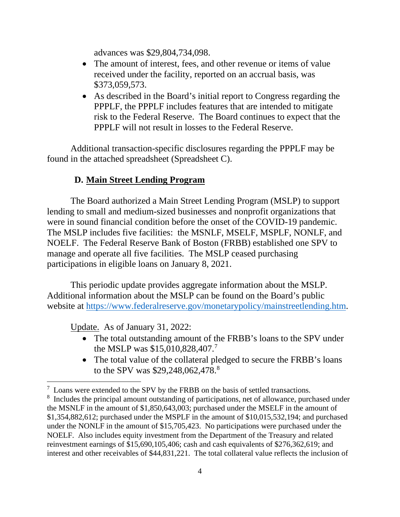advances was \$29,804,734,098.

- The amount of interest, fees, and other revenue or items of value received under the facility, reported on an accrual basis, was \$373,059,573.
- As described in the Board's initial report to Congress regarding the PPPLF, the PPPLF includes features that are intended to mitigate risk to the Federal Reserve. The Board continues to expect that the PPPLF will not result in losses to the Federal Reserve.

Additional transaction-specific disclosures regarding the PPPLF may be found in the attached spreadsheet (Spreadsheet C).

## **D. Main Street Lending Program**

The Board authorized a Main Street Lending Program (MSLP) to support lending to small and medium-sized businesses and nonprofit organizations that were in sound financial condition before the onset of the COVID-19 pandemic. The MSLP includes five facilities: the MSNLF, MSELF, MSPLF, NONLF, and NOELF. The Federal Reserve Bank of Boston (FRBB) established one SPV to manage and operate all five facilities. The MSLP ceased purchasing participations in eligible loans on January 8, 2021.

This periodic update provides aggregate information about the MSLP. Additional information about the MSLP can be found on the Board's public website at [https://www.federalreserve.gov/monetarypolicy/mainstreetlending.htm.](https://www.federalreserve.gov/monetarypolicy/mainstreetlending.htm)

Update. As of January 31, 2022:

- The total outstanding amount of the FRBB's loans to the SPV under the MSLP was \$15,010,828,40[7](#page-3-0).<sup>7</sup>
- The total value of the collateral pledged to secure the FRBB's loans to the SPV was \$29,24[8](#page-3-1),062,478.<sup>8</sup>

<span id="page-3-0"></span> $7$  Loans were extended to the SPV by the FRBB on the basis of settled transactions.

<span id="page-3-1"></span><sup>&</sup>lt;sup>8</sup> Includes the principal amount outstanding of participations, net of allowance, purchased under the MSNLF in the amount of \$1,850,643,003; purchased under the MSELF in the amount of \$1,354,882,612; purchased under the MSPLF in the amount of \$10,015,532,194; and purchased under the NONLF in the amount of \$15,705,423. No participations were purchased under the NOELF. Also includes equity investment from the Department of the Treasury and related reinvestment earnings of \$15,690,105,406; cash and cash equivalents of \$276,362,619; and interest and other receivables of \$44,831,221. The total collateral value reflects the inclusion of